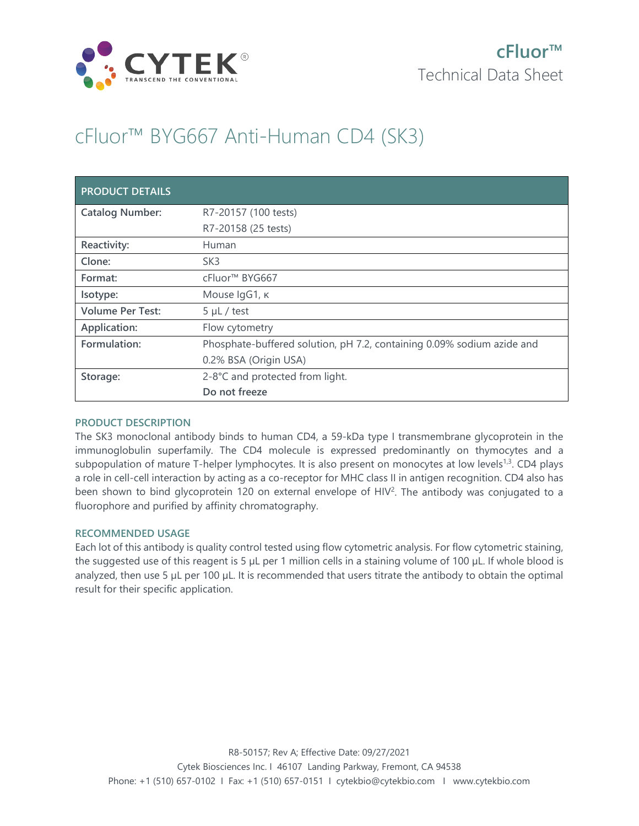

# cFluor™ BYG667 Anti-Human CD4 (SK3)

| <b>PRODUCT DETAILS</b>  |                                                                        |
|-------------------------|------------------------------------------------------------------------|
| <b>Catalog Number:</b>  | R7-20157 (100 tests)                                                   |
|                         | R7-20158 (25 tests)                                                    |
| Reactivity:             | Human                                                                  |
| Clone:                  | SK <sub>3</sub>                                                        |
| Format:                 | cFluor <sup>™</sup> BYG667                                             |
| Isotype:                | Mouse IgG1, к                                                          |
| <b>Volume Per Test:</b> | $5 \mu L$ / test                                                       |
| Application:            | Flow cytometry                                                         |
| Formulation:            | Phosphate-buffered solution, pH 7.2, containing 0.09% sodium azide and |
|                         | 0.2% BSA (Origin USA)                                                  |
| Storage:                | 2-8°C and protected from light.                                        |
|                         | Do not freeze                                                          |

## **PRODUCT DESCRIPTION**

The SK3 monoclonal antibody binds to human CD4, a 59-kDa type I transmembrane glycoprotein in the immunoglobulin superfamily. The CD4 molecule is expressed predominantly on thymocytes and a subpopulation of mature T-helper lymphocytes. It is also present on monocytes at low levels<sup>1,3</sup>. CD4 plays a role in cell-cell interaction by acting as a co-receptor for MHC class II in antigen recognition. CD4 also has been shown to bind glycoprotein 120 on external envelope of HIV<sup>2</sup>. The antibody was conjugated to a fluorophore and purified by affinity chromatography.

## **RECOMMENDED USAGE**

Each lot of this antibody is quality control tested using flow cytometric analysis. For flow cytometric staining, the suggested use of this reagent is 5 µL per 1 million cells in a staining volume of 100 µL. If whole blood is analyzed, then use 5 µL per 100 µL. It is recommended that users titrate the antibody to obtain the optimal result for their specific application.